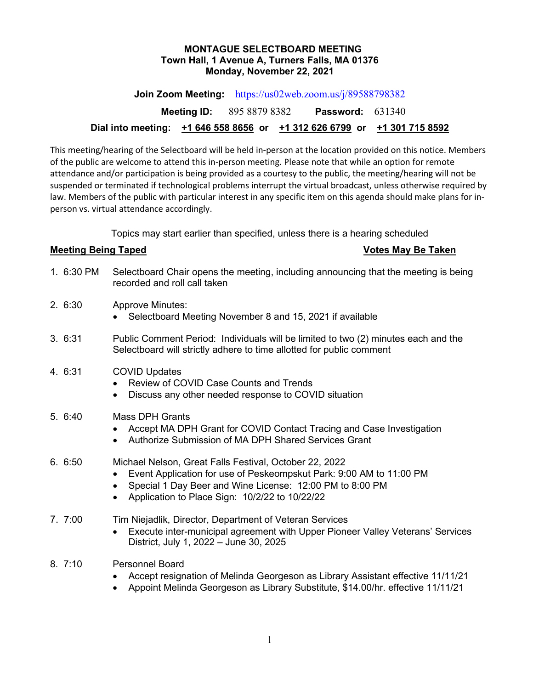#### **MONTAGUE SELECTBOARD MEETING Town Hall, 1 Avenue A, Turners Falls, MA 01376 Monday, November 22, 2021**

**Join Zoom Meeting:** <https://us02web.zoom.us/j/89588798382> **Meeting ID:** 895 8879 8382 **Password:** 631340

# **Dial into meeting: +1 646 558 8656 or +1 312 626 6799 or +1 301 715 8592**

This meeting/hearing of the Selectboard will be held in-person at the location provided on this notice. Members of the public are welcome to attend this in-person meeting. Please note that while an option for remote attendance and/or participation is being provided as a courtesy to the public, the meeting/hearing will not be suspended or terminated if technological problems interrupt the virtual broadcast, unless otherwise required by law. Members of the public with particular interest in any specific item on this agenda should make plans for inperson vs. virtual attendance accordingly.

Topics may start earlier than specified, unless there is a hearing scheduled

## **Meeting Being Taped Votes May Be Taken**

- 1. 6:30 PM Selectboard Chair opens the meeting, including announcing that the meeting is being recorded and roll call taken
- 2. 6:30 Approve Minutes:
	- Selectboard Meeting November 8 and 15, 2021 if available
- 3. 6:31 Public Comment Period: Individuals will be limited to two (2) minutes each and the Selectboard will strictly adhere to time allotted for public comment

## 4. 6:31 COVID Updates

- Review of COVID Case Counts and Trends
- Discuss any other needed response to COVID situation
- 5. 6:40 Mass DPH Grants
	- Accept MA DPH Grant for COVID Contact Tracing and Case Investigation
	- Authorize Submission of MA DPH Shared Services Grant

# 6. 6:50 Michael Nelson, Great Falls Festival, October 22, 2022

- Event Application for use of Peskeompskut Park: 9:00 AM to 11:00 PM
- Special 1 Day Beer and Wine License: 12:00 PM to 8:00 PM
- Application to Place Sign: 10/2/22 to 10/22/22
- 7. 7:00 Tim Niejadlik, Director, Department of Veteran Services
	- Execute inter-municipal agreement with Upper Pioneer Valley Veterans' Services District, July 1, 2022 – June 30, 2025
- 8. 7:10 Personnel Board
	- Accept resignation of Melinda Georgeson as Library Assistant effective 11/11/21
	- Appoint Melinda Georgeson as Library Substitute, \$14.00/hr. effective 11/11/21